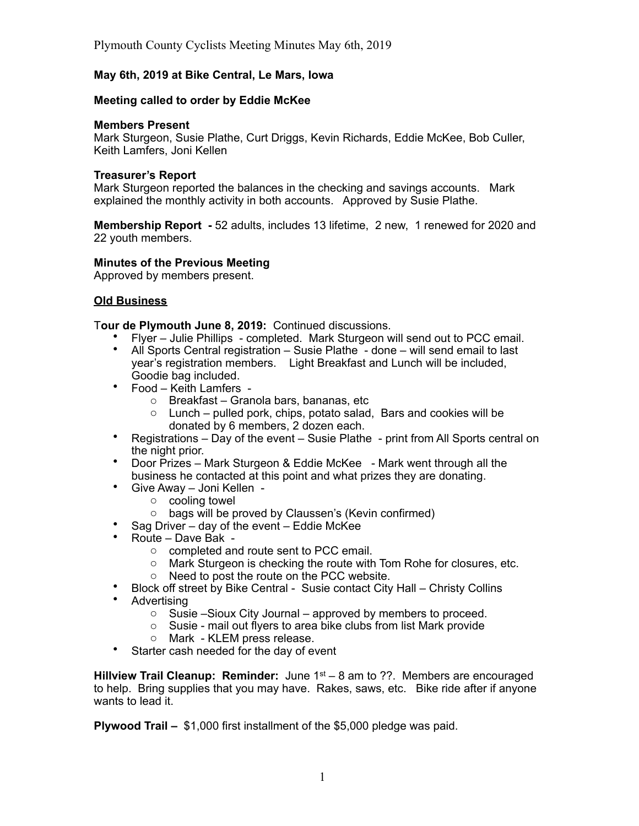# **May 6th, 2019 at Bike Central, Le Mars, Iowa**

## **Meeting called to order by Eddie McKee**

#### **Members Present**

Mark Sturgeon, Susie Plathe, Curt Driggs, Kevin Richards, Eddie McKee, Bob Culler, Keith Lamfers, Joni Kellen

### **Treasurer's Report**

Mark Sturgeon reported the balances in the checking and savings accounts. Mark explained the monthly activity in both accounts. Approved by Susie Plathe.

**Membership Report -** 52 adults, includes 13 lifetime, 2 new, 1 renewed for 2020 and 22 youth members.

## **Minutes of the Previous Meeting**

Approved by members present.

## **Old Business**

T**our de Plymouth June 8, 2019:** Continued discussions.

- Flyer Julie Phillips completed. Mark Sturgeon will send out to PCC email.
- All Sports Central registration  $-$  Susie Plathe  $\overline{\phantom{a}}$  done  $-$  will send email to last year's registration members. Light Breakfast and Lunch will be included, Goodie bag included.
- Food Keith Lamfers
	- o Breakfast Granola bars, bananas, etc
	- o Lunch pulled pork, chips, potato salad, Bars and cookies will be donated by 6 members, 2 dozen each.
- Registrations Day of the event Susie Plathe print from All Sports central on the night prior.
- Door Prizes Mark Sturgeon & Eddie McKee Mark went through all the business he contacted at this point and what prizes they are donating.
- Give Away Joni Kellen
	- o cooling towel
	- o bags will be proved by Claussen's (Kevin confirmed)
- Sag Driver day of the event Eddie McKee
- Route Dave Bak
	- o completed and route sent to PCC email.
	- o Mark Sturgeon is checking the route with Tom Rohe for closures, etc.
	- o Need to post the route on the PCC website.
- Block off street by Bike Central Susie contact City Hall Christy Collins
- **Advertising** 
	- $\circ$  Susie –Sioux City Journal approved by members to proceed.
	- o Susie mail out flyers to area bike clubs from list Mark provide
	- o Mark KLEM press release.
- Starter cash needed for the day of event

**Hillview Trail Cleanup: Reminder:** June 1<sup>st</sup> – 8 am to ??. Members are encouraged to help. Bring supplies that you may have. Rakes, saws, etc. Bike ride after if anyone wants to lead it.

**Plywood Trail –** \$1,000 first installment of the \$5,000 pledge was paid.